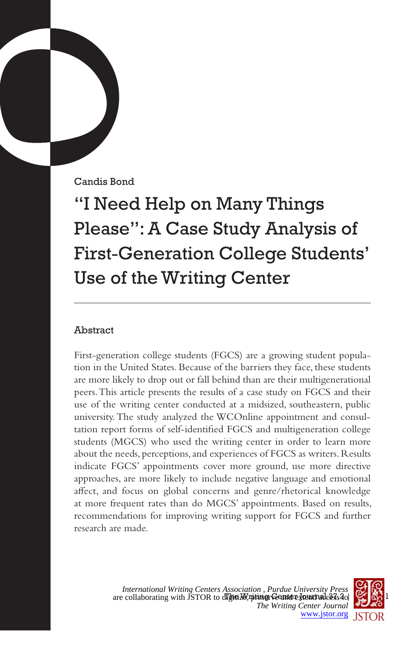Candis Bond

"I Need Help on Many Things Please": A Case Study Analysis of First-Generation College Students' Use of the Writing Center

# Abstract

First-generation college students (FGCS) are a growing student population in the United States. Because of the barriers they face, these students are more likely to drop out or fall behind than are their multigenerational peers. This article presents the results of a case study on FGCS and their use of the writing center conducted at a midsized, southeastern, public university. The study analyzed the WCOnline appointment and consultation report forms of self-identified FGCS and multigeneration college students (MGCS) who used the writing center in order to learn more about the needs, perceptions, and experiences of FGCS as writers. Results indicate FGCS' appointments cover more ground, use more directive approaches, are more likely to include negative language and emotional affect, and focus on global concerns and genre/rhetorical knowledge at more frequent rates than do MGCS' appointments. Based on results, recommendations for improving writing support for FGCS and further research are made.

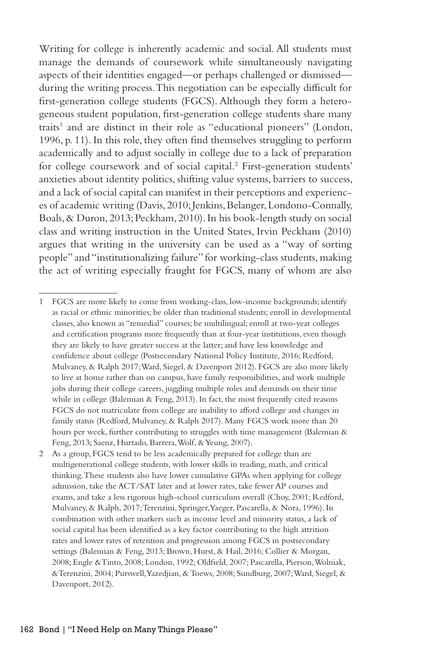Writing for college is inherently academic and social. All students must manage the demands of coursework while simultaneously navigating aspects of their identities engaged—or perhaps challenged or dismissed during the writing process. This negotiation can be especially difficult for first-generation college students (FGCS). Although they form a heterogeneous student population, first-generation college students share many traits<sup>1</sup> and are distinct in their role as "educational pioneers" (London, 1996, p. 11). In this role, they often find themselves struggling to perform academically and to adjust socially in college due to a lack of preparation for college coursework and of social capital.<sup>2</sup> First-generation students' anxieties about identity politics, shifting value systems, barriers to success, and a lack of social capital can manifest in their perceptions and experiences of academic writing (Davis, 2010; Jenkins, Belanger, Londono-Connally, Boals, & Duron, 2013; Peckham, 2010). In his book-length study on social class and writing instruction in the United States, Irvin Peckham (2010) argues that writing in the university can be used as a "way of sorting people" and "institutionalizing failure" for working-class students, making the act of writing especially fraught for FGCS, many of whom are also

<sup>1</sup> FGCS are more likely to come from working-class, low-income backgrounds; identify as racial or ethnic minorities; be older than traditional students; enroll in developmental classes, also known as "remedial" courses; be multilingual; enroll at two-year colleges and certification programs more frequently than at four-year institutions, even though they are likely to have greater success at the latter; and have less knowledge and confidence about college (Postsecondary National Policy Institute, 2016; Redford, Mulvaney, & Ralph 2017; Ward, Siegel, & Davenport 2012). FGCS are also more likely to live at home rather than on campus, have family responsibilities, and work multiple jobs during their college careers, juggling multiple roles and demands on their time while in college (Balemian & Feng, 2013). In fact, the most frequently cited reasons FGCS do not matriculate from college are inability to afford college and changes in family status (Redford, Mulvaney, & Ralph 2017). Many FGCS work more than 20 hours per week, further contributing to struggles with time management (Balemian & Feng, 2013; Saenz, Hurtado, Barrera, Wolf, & Yeung, 2007).

<sup>2</sup> As a group, FGCS tend to be less academically prepared for college than are multigenerational college students, with lower skills in reading, math, and critical thinking. These students also have lower cumulative GPAs when applying for college admission, take the ACT/SAT later and at lower rates, take fewer AP courses and exams, and take a less rigorous high-school curriculum overall (Choy, 2001; Redford, Mulvaney, & Ralph, 2017; Terenzini, Springer, Yaeger, Pascarella, & Nora, 1996). In combination with other markers such as income level and minority status, a lack of social capital has been identified as a key factor contributing to the high attrition rates and lower rates of retention and progression among FGCS in postsecondary settings (Balemian & Feng, 2013; Brown, Hurst, & Hail, 2016; Collier & Morgan, 2008; Engle &Tinto, 2008; London, 1992; Oldfield, 2007; Pascarella, Pierson, Wolniak, &Terenzini, 2004; Purswell, Yazedjian, & Toews, 2008; Sundburg, 2007; Ward, Siegel, & Davenport, 2012).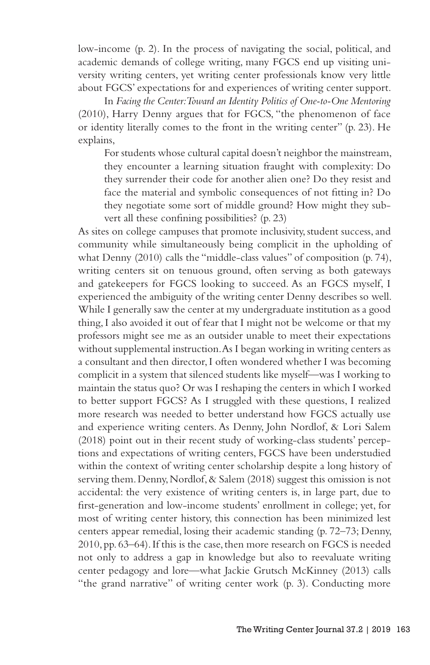low-income (p. 2). In the process of navigating the social, political, and academic demands of college writing, many FGCS end up visiting university writing centers, yet writing center professionals know very little about FGCS' expectations for and experiences of writing center support.

In *Facing the Center: Toward an Identity Politics of One-to-One Mentoring*  (2010), Harry Denny argues that for FGCS, "the phenomenon of face or identity literally comes to the front in the writing center" (p. 23). He explains,

For students whose cultural capital doesn't neighbor the mainstream, they encounter a learning situation fraught with complexity: Do they surrender their code for another alien one? Do they resist and face the material and symbolic consequences of not fitting in? Do they negotiate some sort of middle ground? How might they subvert all these confining possibilities? (p. 23)

As sites on college campuses that promote inclusivity, student success, and community while simultaneously being complicit in the upholding of what Denny (2010) calls the "middle-class values" of composition (p. 74), writing centers sit on tenuous ground, often serving as both gateways and gatekeepers for FGCS looking to succeed. As an FGCS myself, I experienced the ambiguity of the writing center Denny describes so well. While I generally saw the center at my undergraduate institution as a good thing, I also avoided it out of fear that I might not be welcome or that my professors might see me as an outsider unable to meet their expectations without supplemental instruction. As I began working in writing centers as a consultant and then director, I often wondered whether I was becoming complicit in a system that silenced students like myself—was I working to maintain the status quo? Or was I reshaping the centers in which I worked to better support FGCS? As I struggled with these questions, I realized more research was needed to better understand how FGCS actually use and experience writing centers. As Denny, John Nordlof, & Lori Salem (2018) point out in their recent study of working-class students' perceptions and expectations of writing centers, FGCS have been understudied within the context of writing center scholarship despite a long history of serving them. Denny, Nordlof, & Salem (2018) suggest this omission is not accidental: the very existence of writing centers is, in large part, due to first-generation and low-income students' enrollment in college; yet, for most of writing center history, this connection has been minimized lest centers appear remedial, losing their academic standing (p. 72–73; Denny, 2010, pp. 63–64). If this is the case, then more research on FGCS is needed not only to address a gap in knowledge but also to reevaluate writing center pedagogy and lore—what Jackie Grutsch McKinney (2013) calls "the grand narrative" of writing center work (p. 3). Conducting more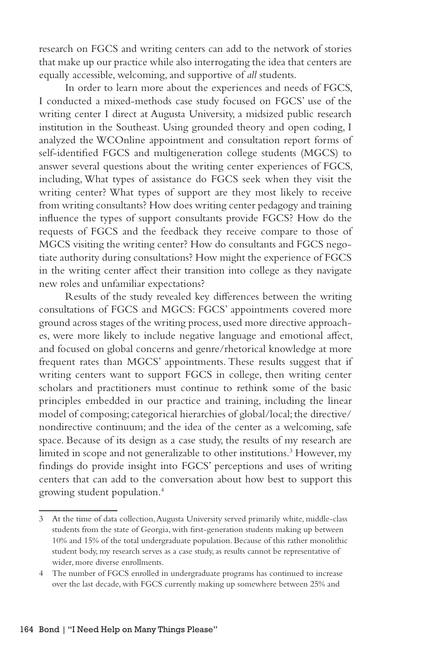research on FGCS and writing centers can add to the network of stories that make up our practice while also interrogating the idea that centers are equally accessible, welcoming, and supportive of *all* students.

In order to learn more about the experiences and needs of FGCS, I conducted a mixed-methods case study focused on FGCS' use of the writing center I direct at Augusta University, a midsized public research institution in the Southeast. Using grounded theory and open coding, I analyzed the WCOnline appointment and consultation report forms of self-identified FGCS and multigeneration college students (MGCS) to answer several questions about the writing center experiences of FGCS, including, What types of assistance do FGCS seek when they visit the writing center? What types of support are they most likely to receive from writing consultants? How does writing center pedagogy and training influence the types of support consultants provide FGCS? How do the requests of FGCS and the feedback they receive compare to those of MGCS visiting the writing center? How do consultants and FGCS negotiate authority during consultations? How might the experience of FGCS in the writing center affect their transition into college as they navigate new roles and unfamiliar expectations?

Results of the study revealed key differences between the writing consultations of FGCS and MGCS: FGCS' appointments covered more ground across stages of the writing process, used more directive approaches, were more likely to include negative language and emotional affect, and focused on global concerns and genre/rhetorical knowledge at more frequent rates than MGCS' appointments. These results suggest that if writing centers want to support FGCS in college, then writing center scholars and practitioners must continue to rethink some of the basic principles embedded in our practice and training, including the linear model of composing; categorical hierarchies of global/local; the directive/ nondirective continuum; and the idea of the center as a welcoming, safe space. Because of its design as a case study, the results of my research are limited in scope and not generalizable to other institutions.<sup>3</sup> However, my findings do provide insight into FGCS' perceptions and uses of writing centers that can add to the conversation about how best to support this growing student population.4

<sup>3</sup> At the time of data collection, Augusta University served primarily white, middle-class students from the state of Georgia, with first-generation students making up between 10% and 15% of the total undergraduate population. Because of this rather monolithic student body, my research serves as a case study, as results cannot be representative of wider, more diverse enrollments.

<sup>4</sup> The number of FGCS enrolled in undergraduate programs has continued to increase over the last decade, with FGCS currently making up somewhere between 25% and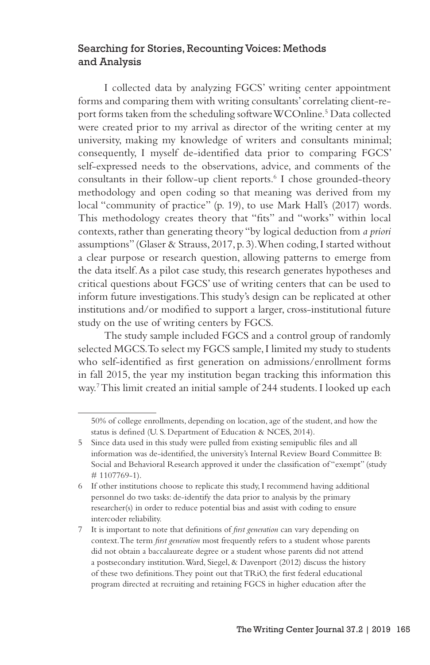### Searching for Stories, Recounting Voices: Methods and Analysis

I collected data by analyzing FGCS' writing center appointment forms and comparing them with writing consultants' correlating client-report forms taken from the scheduling software WCOnline.5 Data collected were created prior to my arrival as director of the writing center at my university, making my knowledge of writers and consultants minimal; consequently, I myself de-identified data prior to comparing FGCS' self-expressed needs to the observations, advice, and comments of the consultants in their follow-up client reports.6 I chose grounded-theory methodology and open coding so that meaning was derived from my local "community of practice" (p. 19), to use Mark Hall's (2017) words. This methodology creates theory that "fits" and "works" within local contexts, rather than generating theory "by logical deduction from *a priori*  assumptions" (Glaser & Strauss, 2017, p. 3). When coding, I started without a clear purpose or research question, allowing patterns to emerge from the data itself. As a pilot case study, this research generates hypotheses and critical questions about FGCS' use of writing centers that can be used to inform future investigations. This study's design can be replicated at other institutions and/or modified to support a larger, cross-institutional future study on the use of writing centers by FGCS.

The study sample included FGCS and a control group of randomly selected MGCS. To select my FGCS sample, I limited my study to students who self-identified as first generation on admissions/enrollment forms in fall 2015, the year my institution began tracking this information this way.7 This limit created an initial sample of 244 students. I looked up each

<sup>50%</sup> of college enrollments, depending on location, age of the student, and how the status is defined (U. S. Department of Education & NCES, 2014).

<sup>5</sup> Since data used in this study were pulled from existing semipublic files and all information was de-identified, the university's Internal Review Board Committee B: Social and Behavioral Research approved it under the classification of "exempt" (study # 1107769-1).

<sup>6</sup> If other institutions choose to replicate this study, I recommend having additional personnel do two tasks: de-identify the data prior to analysis by the primary researcher(s) in order to reduce potential bias and assist with coding to ensure intercoder reliability.

<sup>7</sup> It is important to note that definitions of *first generation* can vary depending on context. The term *first generation* most frequently refers to a student whose parents did not obtain a baccalaureate degree or a student whose parents did not attend a postsecondary institution. Ward, Siegel, & Davenport (2012) discuss the history of these two definitions. They point out that TRiO, the first federal educational program directed at recruiting and retaining FGCS in higher education after the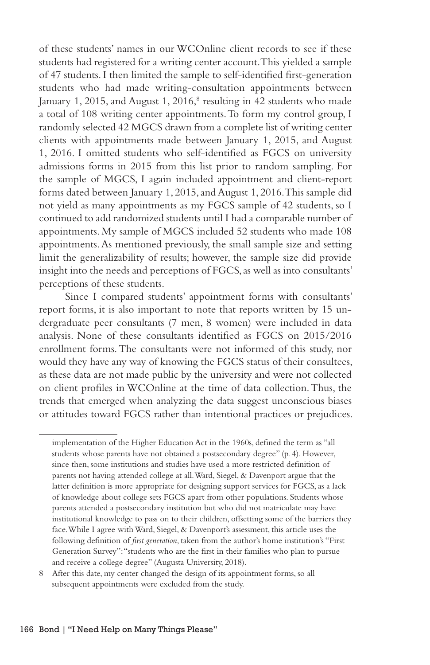of these students' names in our WCOnline client records to see if these students had registered for a writing center account. This yielded a sample of 47 students. I then limited the sample to self-identified first-generation students who had made writing-consultation appointments between January 1, 2015, and August 1, 2016,<sup>8</sup> resulting in 42 students who made a total of 108 writing center appointments. To form my control group, I randomly selected 42 MGCS drawn from a complete list of writing center clients with appointments made between January 1, 2015, and August 1, 2016. I omitted students who self-identified as FGCS on university admissions forms in 2015 from this list prior to random sampling. For the sample of MGCS, I again included appointment and client-report forms dated between January 1, 2015, and August 1, 2016. This sample did not yield as many appointments as my FGCS sample of 42 students, so I continued to add randomized students until I had a comparable number of appointments. My sample of MGCS included 52 students who made 108 appointments. As mentioned previously, the small sample size and setting limit the generalizability of results; however, the sample size did provide insight into the needs and perceptions of FGCS, as well as into consultants' perceptions of these students.

Since I compared students' appointment forms with consultants' report forms, it is also important to note that reports written by 15 undergraduate peer consultants (7 men, 8 women) were included in data analysis. None of these consultants identified as FGCS on 2015/2016 enrollment forms. The consultants were not informed of this study, nor would they have any way of knowing the FGCS status of their consultees, as these data are not made public by the university and were not collected on client profiles in WCOnline at the time of data collection. Thus, the trends that emerged when analyzing the data suggest unconscious biases or attitudes toward FGCS rather than intentional practices or prejudices.

implementation of the Higher Education Act in the 1960s, defined the term as "all students whose parents have not obtained a postsecondary degree" (p. 4). However, since then, some institutions and studies have used a more restricted definition of parents not having attended college at all. Ward, Siegel, & Davenport argue that the latter definition is more appropriate for designing support services for FGCS, as a lack of knowledge about college sets FGCS apart from other populations. Students whose parents attended a postsecondary institution but who did not matriculate may have institutional knowledge to pass on to their children, offsetting some of the barriers they face. While I agree with Ward, Siegel, & Davenport's assessment, this article uses the following definition of *first generation*, taken from the author's home institution's "First Generation Survey": "students who are the first in their families who plan to pursue and receive a college degree" (Augusta University, 2018).

<sup>8</sup> After this date, my center changed the design of its appointment forms, so all subsequent appointments were excluded from the study.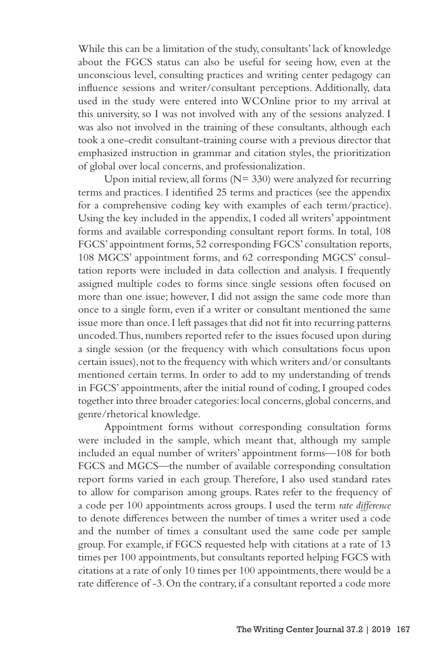While this can be a limitation of the study, consultants' lack of knowledge about the FGCS status can also be useful for seeing how, even at the unconscious level, consulting practices and writing center pedagogy can influence sessions and writer/consultant perceptions. Additionally, data used in the study were entered into WCOnline prior to my arrival at this university, so I was not involved with any of the sessions analyzed. I was also not involved in the training of these consultants, although each took a one-credit consultant-training course with a previous director that emphasized instruction in grammar and citation styles, the prioritization of global over local concerns, and professionalization.

Upon initial review, all forms  $(N= 330)$  were analyzed for recurring terms and practices. I identified 25 terms and practices (see the appendix for a comprehensive coding key with examples of each term/practice). Using the key included in the appendix, I coded all writers' appointment forms and available corresponding consultant report forms. In total, 108 FGCS' appointment forms, 52 corresponding FGCS' consultation reports, 108 MGCS' appointment forms, and 62 corresponding MGCS' consultation reports were included in data collection and analysis. I frequently assigned multiple codes to forms since single sessions often focused on more than one issue; however, I did not assign the same code more than once to a single form, even if a writer or consultant mentioned the same issue more than once. I left passages that did not fit into recurring patterns uncoded. Thus, numbers reported refer to the issues focused upon during a single session (or the frequency with which consultations focus upon certain issues), not to the frequency with which writers and/or consultants mentioned certain terms. In order to add to my understanding of trends in FGCS' appointments, after the initial round of coding, I grouped codes together into three broader categories: local concerns, global concerns, and genre/rhetorical knowledge.

Appointment forms without corresponding consultation forms were included in the sample, which meant that, although my sample included an equal number of writers' appointment forms—108 for both FGCS and MGCS—the number of available corresponding consultation report forms varied in each group. Therefore, I also used standard rates to allow for comparison among groups. Rates refer to the frequency of a code per 100 appointments across groups. I used the term *rate difference* to denote differences between the number of times a writer used a code and the number of times a consultant used the same code per sample group. For example, if FGCS requested help with citations at a rate of 13 times per 100 appointments, but consultants reported helping FGCS with citations at a rate of only 10 times per 100 appointments, there would be a rate difference of -3. On the contrary, if a consultant reported a code more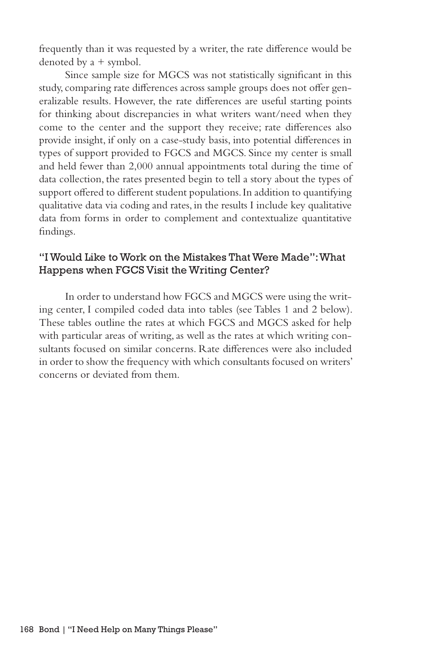frequently than it was requested by a writer, the rate difference would be denoted by a + symbol.

Since sample size for MGCS was not statistically significant in this study, comparing rate differences across sample groups does not offer generalizable results. However, the rate differences are useful starting points for thinking about discrepancies in what writers want/need when they come to the center and the support they receive; rate differences also provide insight, if only on a case-study basis, into potential differences in types of support provided to FGCS and MGCS. Since my center is small and held fewer than 2,000 annual appointments total during the time of data collection, the rates presented begin to tell a story about the types of support offered to different student populations. In addition to quantifying qualitative data via coding and rates, in the results I include key qualitative data from forms in order to complement and contextualize quantitative findings.

### "I Would Like to Work on the Mistakes That Were Made": What Happens when FGCS Visit the Writing Center?

In order to understand how FGCS and MGCS were using the writing center, I compiled coded data into tables (see Tables 1 and 2 below). These tables outline the rates at which FGCS and MGCS asked for help with particular areas of writing, as well as the rates at which writing consultants focused on similar concerns. Rate differences were also included in order to show the frequency with which consultants focused on writers' concerns or deviated from them.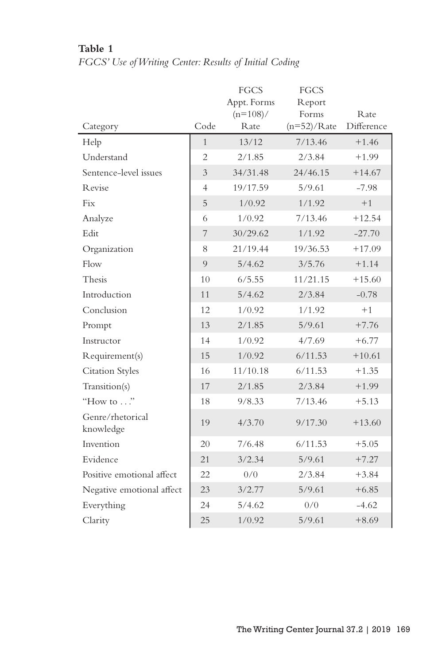# **Table 1**

# *FGCS' Use of Writing Center: Results of Initial Coding*

|                               |                | FGCS                | FGCS                   |                            |
|-------------------------------|----------------|---------------------|------------------------|----------------------------|
|                               |                | Appt. Forms         | Report                 |                            |
|                               | Code           | $(n=108)$ /<br>Rate | Forms<br>$(n=52)/Rate$ | <b>R</b> ate<br>Difference |
| Category                      |                |                     |                        |                            |
| Help                          | $\mathbf{1}$   | 13/12               | 7/13.46                | $+1.46$                    |
| Understand                    | $\overline{2}$ | 2/1.85              | 2/3.84                 | $+1.99$                    |
| Sentence-level issues         | 3              | 34/31.48            | 24/46.15               | $+14.67$                   |
| <b>Revise</b>                 | $\overline{4}$ | 19/17.59            | 5/9.61                 | $-7.98$                    |
| Fix                           | 5              | 1/0.92              | 1/1.92                 | $+1$                       |
| Analyze                       | 6              | 1/0.92              | 7/13.46                | $+12.54$                   |
| Edit                          | 7              | 30/29.62            | 1/1.92                 | $-27.70$                   |
| Organization                  | 8              | 21/19.44            | 19/36.53               | $+17.09$                   |
| Flow                          | 9              | 5/4.62              | 3/5.76                 | $+1.14$                    |
| Thesis                        | 10             | 6/5.55              | 11/21.15               | $+15.60$                   |
| Introduction                  | 11             | 5/4.62              | 2/3.84                 | $-0.78$                    |
| Conclusion                    | 12             | 1/0.92              | 1/1.92                 | $+1$                       |
| Prompt                        | 13             | 2/1.85              | 5/9.61                 | $+7.76$                    |
| Instructor                    | 14             | 1/0.92              | 4/7.69                 | $+6.77$                    |
| Requirement(s)                | 15             | 1/0.92              | 6/11.53                | $+10.61$                   |
| <b>Citation Styles</b>        | 16             | 11/10.18            | 6/11.53                | $+1.35$                    |
| Transition(s)                 | 17             | 2/1.85              | 2/3.84                 | $+1.99$                    |
| "How to $\ldots$ "            | 18             | 9/8.33              | 7/13.46                | $+5.13$                    |
| Genre/rhetorical<br>knowledge | 19             | 4/3.70              | 9/17.30                | $+13.60$                   |
| Invention                     | 20             | 7/6.48              | 6/11.53                | $+5.05$                    |
| Evidence                      | 21             | 3/2.34              | 5/9.61                 | $+7.27$                    |
| Positive emotional affect     | 22             | 0/0                 | 2/3.84                 | $+3.84$                    |
| Negative emotional affect     | 23             | 3/2.77              | 5/9.61                 | $+6.85$                    |
| Everything                    | 24             | 5/4.62              | 0/0                    | $-4.62$                    |
| Clarity                       | 25             | 1/0.92              | 5/9.61                 | $+8.69$                    |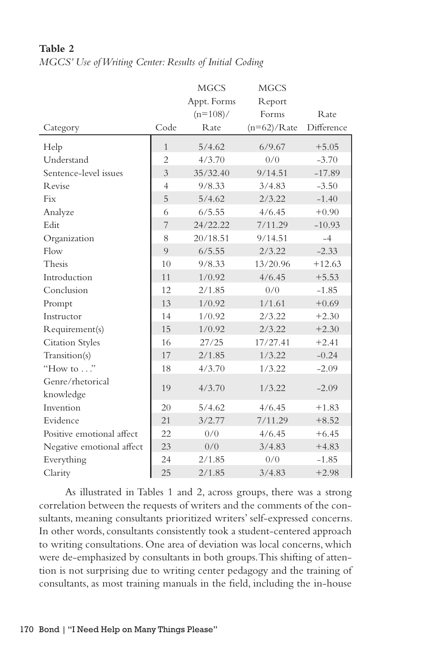|                           |                          | <b>MGCS</b> | <b>MGCS</b>   |              |
|---------------------------|--------------------------|-------------|---------------|--------------|
|                           |                          | Appt. Forms | Report        |              |
|                           |                          | $(n=108)$ / | Forms         | <b>R</b> ate |
| Category                  | Code                     | Rate        | $(n=62)/Rate$ | Difference   |
| Help                      | $\mathbf{1}$             | 5/4.62      | 6/9.67        | $+5.05$      |
| Understand                | $\overline{2}$           | 4/3.70      | 0/0           | $-3.70$      |
| Sentence-level issues     | $\overline{\mathcal{E}}$ | 35/32.40    | 9/14.51       | $-17.89$     |
| Revise                    | $\overline{4}$           | 9/8.33      | 3/4.83        | $-3.50$      |
| Fix                       | 5                        | 5/4.62      | 2/3.22        | $-1.40$      |
| Analyze                   | 6                        | 6/5.55      | 4/6.45        | $+0.90$      |
| Edit                      | 7                        | 24/22.22    | 7/11.29       | $-10.93$     |
| Organization              | 8                        | 20/18.51    | 9/14.51       | $-4$         |
| Flow                      | 9                        | 6/5.55      | 2/3.22        | $-2.33$      |
| Thesis                    | 10                       | 9/8.33      | 13/20.96      | $+12.63$     |
| Introduction              | 11                       | 1/0.92      | 4/6.45        | $+5.53$      |
| Conclusion                | 12                       | 2/1.85      | 0/0           | $-1.85$      |
| Prompt                    | 13                       | 1/0.92      | 1/1.61        | $+0.69$      |
| Instructor                | 14                       | 1/0.92      | 2/3.22        | $+2.30$      |
| Requirement(s)            | 15                       | 1/0.92      | 2/3.22        | $+2.30$      |
| <b>Citation Styles</b>    | 16                       | 27/25       | 17/27.41      | $+2.41$      |
| Transition(s)             | 17                       | 2/1.85      | 1/3.22        | $-0.24$      |
| "How to $\ldots$ "        | 18                       | 4/3.70      | 1/3.22        | $-2.09$      |
| Genre/rhetorical          | 19                       | 4/3.70      | 1/3.22        | $-2.09$      |
| knowledge                 |                          |             |               |              |
| Invention                 | 20                       | 5/4.62      | 4/6.45        | $+1.83$      |
| Evidence                  | 21                       | 3/2.77      | 7/11.29       | $+8.52$      |
| Positive emotional affect | 22                       | 0/0         | 4/6.45        | $+6.45$      |
| Negative emotional affect | 23                       | 0/0         | 3/4.83        | $+4.83$      |
| Everything                | 24                       | 2/1.85      | 0/0           | $-1.85$      |
| Clarity                   | 25                       | 2/1.85      | 3/4.83        | $+2.98$      |

#### **Table 2** *MGCS' Use of Writing Center: Results of Initial Coding*

As illustrated in Tables 1 and 2, across groups, there was a strong correlation between the requests of writers and the comments of the consultants, meaning consultants prioritized writers' self-expressed concerns. In other words, consultants consistently took a student-centered approach to writing consultations. One area of deviation was local concerns, which were de-emphasized by consultants in both groups. This shifting of attention is not surprising due to writing center pedagogy and the training of consultants, as most training manuals in the field, including the in-house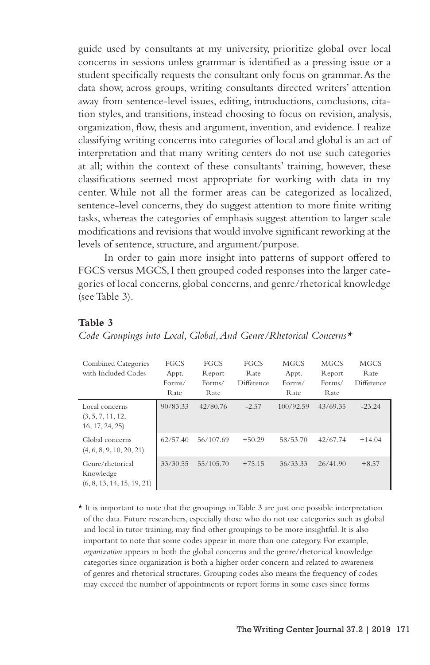guide used by consultants at my university, prioritize global over local concerns in sessions unless grammar is identified as a pressing issue or a student specifically requests the consultant only focus on grammar. As the data show, across groups, writing consultants directed writers' attention away from sentence-level issues, editing, introductions, conclusions, citation styles, and transitions, instead choosing to focus on revision, analysis, organization, flow, thesis and argument, invention, and evidence. I realize classifying writing concerns into categories of local and global is an act of interpretation and that many writing centers do not use such categories at all; within the context of these consultants' training, however, these classifications seemed most appropriate for working with data in my center. While not all the former areas can be categorized as localized, sentence-level concerns, they do suggest attention to more finite writing tasks, whereas the categories of emphasis suggest attention to larger scale modifications and revisions that would involve significant reworking at the levels of sentence, structure, and argument/purpose.

In order to gain more insight into patterns of support offered to FGCS versus MGCS, I then grouped coded responses into the larger categories of local concerns, global concerns, and genre/rhetorical knowledge (see Table 3).

#### **Table 3**

*Code Groupings into Local, Global, And Genre/Rhetorical Concerns\**

| Combined Categories<br>with Included Codes                  | FGCS<br>Appt.<br>Forms/<br>Rate | FGCS<br>Report<br>Forms/<br>Rate | FGCS<br>Rate<br>Difference | <b>MGCS</b><br>Appt.<br>Forms/<br>Rate | <b>MGCS</b><br>Report<br>Forms/<br>Rate | <b>MGCS</b><br>Rate<br>Difference |
|-------------------------------------------------------------|---------------------------------|----------------------------------|----------------------------|----------------------------------------|-----------------------------------------|-----------------------------------|
| Local concerns<br>(3, 5, 7, 11, 12,<br>16, 17, 24, 25)      | 90/83.33                        | 42/80.76                         | $-2.57$                    | 100/92.59                              | 43/69.35                                | $-23.24$                          |
| Global concerns<br>(4, 6, 8, 9, 10, 20, 21)                 | 62/57.40                        | 56/107.69                        | $+50.29$                   | 58/53.70                               | 42/67.74                                | $+14.04$                          |
| Genre/rhetorical<br>Knowledge<br>(6, 8, 13, 14, 15, 19, 21) | 33/30.55                        | 55/105.70                        | $+75.15$                   | 36/33.33                               | 26/41.90                                | $+8.57$                           |

\* It is important to note that the groupings in Table 3 are just one possible interpretation of the data. Future researchers, especially those who do not use categories such as global and local in tutor training, may find other groupings to be more insightful. It is also important to note that some codes appear in more than one category. For example, *organization* appears in both the global concerns and the genre/rhetorical knowledge categories since organization is both a higher order concern and related to awareness of genres and rhetorical structures. Grouping codes also means the frequency of codes may exceed the number of appointments or report forms in some cases since forms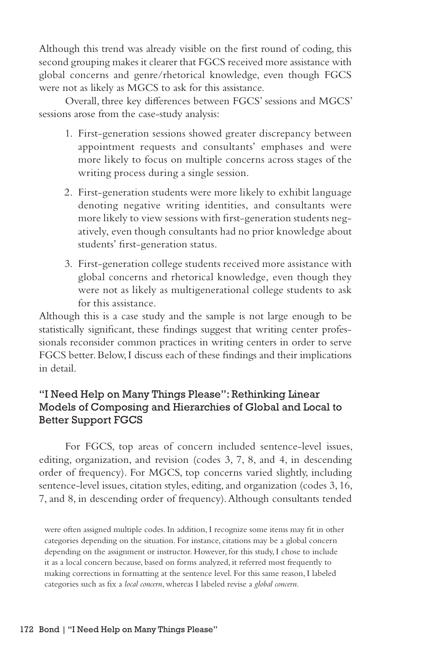Although this trend was already visible on the first round of coding, this second grouping makes it clearer that FGCS received more assistance with global concerns and genre/rhetorical knowledge, even though FGCS were not as likely as MGCS to ask for this assistance.

Overall, three key differences between FGCS' sessions and MGCS' sessions arose from the case-study analysis:

- 1. First-generation sessions showed greater discrepancy between appointment requests and consultants' emphases and were more likely to focus on multiple concerns across stages of the writing process during a single session.
- 2. First-generation students were more likely to exhibit language denoting negative writing identities, and consultants were more likely to view sessions with first-generation students negatively, even though consultants had no prior knowledge about students' first-generation status.
- 3. First-generation college students received more assistance with global concerns and rhetorical knowledge, even though they were not as likely as multigenerational college students to ask for this assistance.

Although this is a case study and the sample is not large enough to be statistically significant, these findings suggest that writing center professionals reconsider common practices in writing centers in order to serve FGCS better. Below, I discuss each of these findings and their implications in detail.

### "I Need Help on Many Things Please": Rethinking Linear Models of Composing and Hierarchies of Global and Local to Better Support FGCS

For FGCS, top areas of concern included sentence-level issues, editing, organization, and revision (codes 3, 7, 8, and 4, in descending order of frequency). For MGCS, top concerns varied slightly, including sentence-level issues, citation styles, editing, and organization (codes 3, 16, 7, and 8, in descending order of frequency). Although consultants tended

were often assigned multiple codes. In addition, I recognize some items may fit in other categories depending on the situation. For instance, citations may be a global concern depending on the assignment or instructor. However, for this study, I chose to include it as a local concern because, based on forms analyzed, it referred most frequently to making corrections in formatting at the sentence level. For this same reason, I labeled categories such as fix a *local concern*, whereas I labeled revise a *global concern*.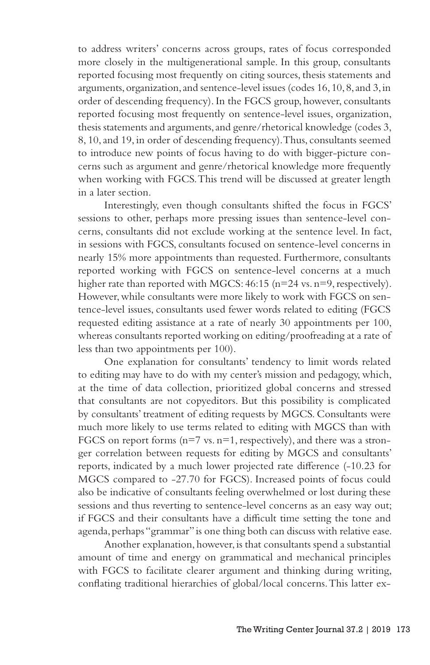to address writers' concerns across groups, rates of focus corresponded more closely in the multigenerational sample. In this group, consultants reported focusing most frequently on citing sources, thesis statements and arguments, organization, and sentence-level issues (codes 16, 10, 8, and 3, in order of descending frequency). In the FGCS group, however, consultants reported focusing most frequently on sentence-level issues, organization, thesis statements and arguments, and genre/rhetorical knowledge (codes 3, 8, 10, and 19, in order of descending frequency). Thus, consultants seemed to introduce new points of focus having to do with bigger-picture concerns such as argument and genre/rhetorical knowledge more frequently when working with FGCS. This trend will be discussed at greater length in a later section.

Interestingly, even though consultants shifted the focus in FGCS' sessions to other, perhaps more pressing issues than sentence-level concerns, consultants did not exclude working at the sentence level. In fact, in sessions with FGCS, consultants focused on sentence-level concerns in nearly 15% more appointments than requested. Furthermore, consultants reported working with FGCS on sentence-level concerns at a much higher rate than reported with MGCS: 46:15 (n=24 vs. n=9, respectively). However, while consultants were more likely to work with FGCS on sentence-level issues, consultants used fewer words related to editing (FGCS requested editing assistance at a rate of nearly 30 appointments per 100, whereas consultants reported working on editing/proofreading at a rate of less than two appointments per 100).

One explanation for consultants' tendency to limit words related to editing may have to do with my center's mission and pedagogy, which, at the time of data collection, prioritized global concerns and stressed that consultants are not copyeditors. But this possibility is complicated by consultants' treatment of editing requests by MGCS. Consultants were much more likely to use terms related to editing with MGCS than with FGCS on report forms  $(n=7 \text{ vs. } n=1,$  respectively), and there was a stronger correlation between requests for editing by MGCS and consultants' reports, indicated by a much lower projected rate difference (-10.23 for MGCS compared to -27.70 for FGCS). Increased points of focus could also be indicative of consultants feeling overwhelmed or lost during these sessions and thus reverting to sentence-level concerns as an easy way out; if FGCS and their consultants have a difficult time setting the tone and agenda, perhaps "grammar" is one thing both can discuss with relative ease.

Another explanation, however, is that consultants spend a substantial amount of time and energy on grammatical and mechanical principles with FGCS to facilitate clearer argument and thinking during writing, conflating traditional hierarchies of global/local concerns. This latter ex-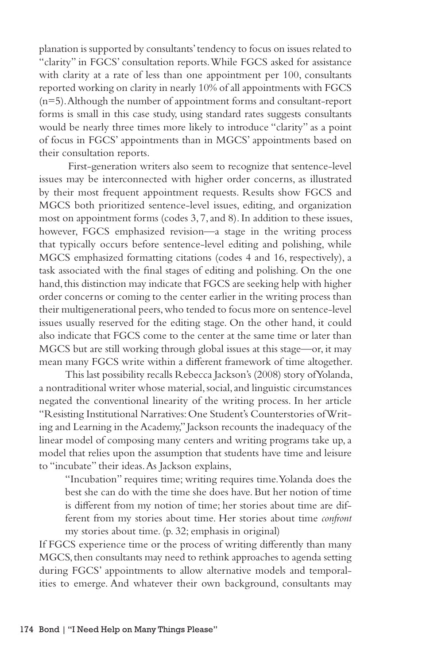planation is supported by consultants' tendency to focus on issues related to "clarity" in FGCS' consultation reports. While FGCS asked for assistance with clarity at a rate of less than one appointment per 100, consultants reported working on clarity in nearly 10% of all appointments with FGCS (n=5). Although the number of appointment forms and consultant-report forms is small in this case study, using standard rates suggests consultants would be nearly three times more likely to introduce "clarity" as a point of focus in FGCS' appointments than in MGCS' appointments based on their consultation reports.

 First-generation writers also seem to recognize that sentence-level issues may be interconnected with higher order concerns, as illustrated by their most frequent appointment requests. Results show FGCS and MGCS both prioritized sentence-level issues, editing, and organization most on appointment forms (codes 3, 7, and 8). In addition to these issues, however, FGCS emphasized revision—a stage in the writing process that typically occurs before sentence-level editing and polishing, while MGCS emphasized formatting citations (codes 4 and 16, respectively), a task associated with the final stages of editing and polishing. On the one hand, this distinction may indicate that FGCS are seeking help with higher order concerns or coming to the center earlier in the writing process than their multigenerational peers, who tended to focus more on sentence-level issues usually reserved for the editing stage. On the other hand, it could also indicate that FGCS come to the center at the same time or later than MGCS but are still working through global issues at this stage—or, it may mean many FGCS write within a different framework of time altogether.

This last possibility recalls Rebecca Jackson's (2008) story of Yolanda, a nontraditional writer whose material, social, and linguistic circumstances negated the conventional linearity of the writing process. In her article "Resisting Institutional Narratives: One Student's Counterstories of Writing and Learning in the Academy," Jackson recounts the inadequacy of the linear model of composing many centers and writing programs take up, a model that relies upon the assumption that students have time and leisure to "incubate" their ideas. As Jackson explains,

"Incubation" requires time; writing requires time. Yolanda does the best she can do with the time she does have. But her notion of time is different from my notion of time; her stories about time are different from my stories about time. Her stories about time *confront*  my stories about time. (p. 32; emphasis in original)

If FGCS experience time or the process of writing differently than many MGCS, then consultants may need to rethink approaches to agenda setting during FGCS' appointments to allow alternative models and temporalities to emerge. And whatever their own background, consultants may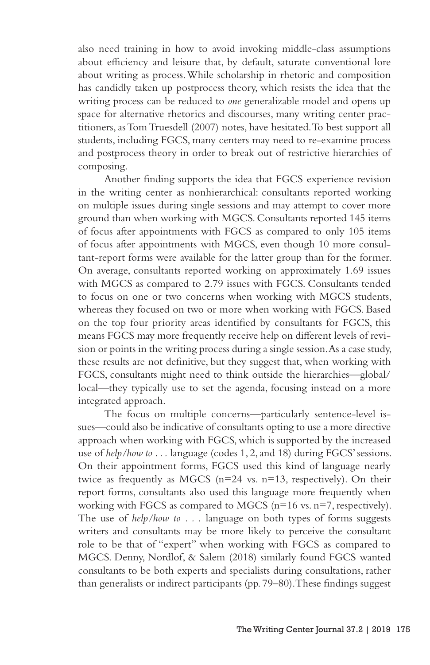also need training in how to avoid invoking middle-class assumptions about efficiency and leisure that, by default, saturate conventional lore about writing as process. While scholarship in rhetoric and composition has candidly taken up postprocess theory, which resists the idea that the writing process can be reduced to *one* generalizable model and opens up space for alternative rhetorics and discourses, many writing center practitioners, as Tom Truesdell (2007) notes, have hesitated. To best support all students, including FGCS, many centers may need to re-examine process and postprocess theory in order to break out of restrictive hierarchies of composing.

Another finding supports the idea that FGCS experience revision in the writing center as nonhierarchical: consultants reported working on multiple issues during single sessions and may attempt to cover more ground than when working with MGCS. Consultants reported 145 items of focus after appointments with FGCS as compared to only 105 items of focus after appointments with MGCS, even though 10 more consultant-report forms were available for the latter group than for the former. On average, consultants reported working on approximately 1.69 issues with MGCS as compared to 2.79 issues with FGCS. Consultants tended to focus on one or two concerns when working with MGCS students, whereas they focused on two or more when working with FGCS. Based on the top four priority areas identified by consultants for FGCS, this means FGCS may more frequently receive help on different levels of revision or points in the writing process during a single session. As a case study, these results are not definitive, but they suggest that, when working with FGCS, consultants might need to think outside the hierarchies—global/ local—they typically use to set the agenda, focusing instead on a more integrated approach.

The focus on multiple concerns—particularly sentence-level issues—could also be indicative of consultants opting to use a more directive approach when working with FGCS, which is supported by the increased use of *help/how to . . .* language (codes 1, 2, and 18) during FGCS' sessions. On their appointment forms, FGCS used this kind of language nearly twice as frequently as MGCS ( $n=24$  vs.  $n=13$ , respectively). On their report forms, consultants also used this language more frequently when working with FGCS as compared to MGCS (n=16 vs. n=7, respectively). The use of *help/how to . . .* language on both types of forms suggests writers and consultants may be more likely to perceive the consultant role to be that of "expert" when working with FGCS as compared to MGCS. Denny, Nordlof, & Salem (2018) similarly found FGCS wanted consultants to be both experts and specialists during consultations, rather than generalists or indirect participants (pp. 79–80). These findings suggest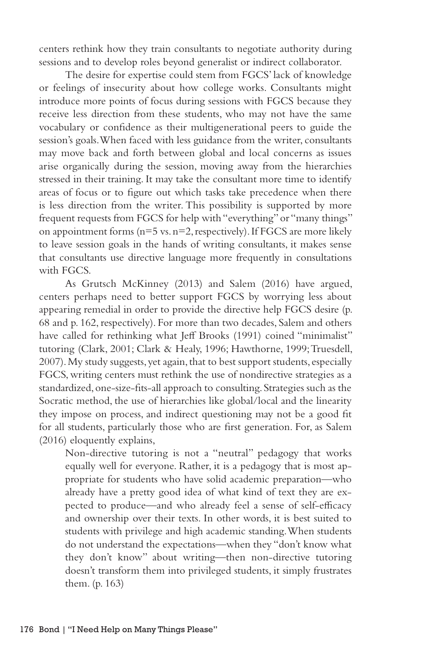centers rethink how they train consultants to negotiate authority during sessions and to develop roles beyond generalist or indirect collaborator.

The desire for expertise could stem from FGCS' lack of knowledge or feelings of insecurity about how college works. Consultants might introduce more points of focus during sessions with FGCS because they receive less direction from these students, who may not have the same vocabulary or confidence as their multigenerational peers to guide the session's goals. When faced with less guidance from the writer, consultants may move back and forth between global and local concerns as issues arise organically during the session, moving away from the hierarchies stressed in their training. It may take the consultant more time to identify areas of focus or to figure out which tasks take precedence when there is less direction from the writer. This possibility is supported by more frequent requests from FGCS for help with "everything" or "many things" on appointment forms  $(n=5 \text{ vs. } n=2, \text{respectively})$ . If FGCS are more likely to leave session goals in the hands of writing consultants, it makes sense that consultants use directive language more frequently in consultations with FGCS.

As Grutsch McKinney (2013) and Salem (2016) have argued, centers perhaps need to better support FGCS by worrying less about appearing remedial in order to provide the directive help FGCS desire (p. 68 and p. 162, respectively). For more than two decades, Salem and others have called for rethinking what Jeff Brooks (1991) coined "minimalist" tutoring (Clark, 2001; Clark & Healy, 1996; Hawthorne, 1999; Truesdell, 2007). My study suggests, yet again, that to best support students, especially FGCS, writing centers must rethink the use of nondirective strategies as a standardized, one-size-fits-all approach to consulting. Strategies such as the Socratic method, the use of hierarchies like global/local and the linearity they impose on process, and indirect questioning may not be a good fit for all students, particularly those who are first generation. For, as Salem (2016) eloquently explains,

Non-directive tutoring is not a "neutral" pedagogy that works equally well for everyone. Rather, it is a pedagogy that is most appropriate for students who have solid academic preparation—who already have a pretty good idea of what kind of text they are expected to produce—and who already feel a sense of self-efficacy and ownership over their texts. In other words, it is best suited to students with privilege and high academic standing. When students do not understand the expectations—when they "don't know what they don't know" about writing—then non-directive tutoring doesn't transform them into privileged students, it simply frustrates them. (p. 163)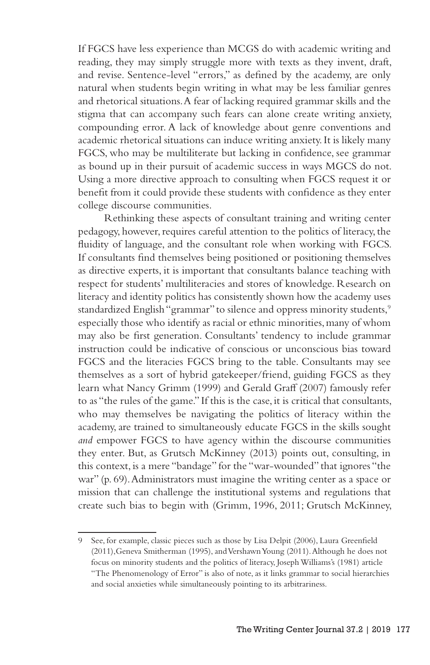If FGCS have less experience than MCGS do with academic writing and reading, they may simply struggle more with texts as they invent, draft, and revise. Sentence-level "errors," as defined by the academy, are only natural when students begin writing in what may be less familiar genres and rhetorical situations. A fear of lacking required grammar skills and the stigma that can accompany such fears can alone create writing anxiety, compounding error. A lack of knowledge about genre conventions and academic rhetorical situations can induce writing anxiety. It is likely many FGCS, who may be multiliterate but lacking in confidence, see grammar as bound up in their pursuit of academic success in ways MGCS do not. Using a more directive approach to consulting when FGCS request it or benefit from it could provide these students with confidence as they enter college discourse communities.

Rethinking these aspects of consultant training and writing center pedagogy, however, requires careful attention to the politics of literacy, the fluidity of language, and the consultant role when working with FGCS. If consultants find themselves being positioned or positioning themselves as directive experts, it is important that consultants balance teaching with respect for students' multiliteracies and stores of knowledge. Research on literacy and identity politics has consistently shown how the academy uses standardized English "grammar" to silence and oppress minority students,<sup>9</sup> especially those who identify as racial or ethnic minorities, many of whom may also be first generation. Consultants' tendency to include grammar instruction could be indicative of conscious or unconscious bias toward FGCS and the literacies FGCS bring to the table. Consultants may see themselves as a sort of hybrid gatekeeper/friend, guiding FGCS as they learn what Nancy Grimm (1999) and Gerald Graff (2007) famously refer to as "the rules of the game." If this is the case, it is critical that consultants, who may themselves be navigating the politics of literacy within the academy, are trained to simultaneously educate FGCS in the skills sought *and* empower FGCS to have agency within the discourse communities they enter. But, as Grutsch McKinney (2013) points out, consulting, in this context, is a mere "bandage" for the "war-wounded" that ignores "the war" (p. 69). Administrators must imagine the writing center as a space or mission that can challenge the institutional systems and regulations that create such bias to begin with (Grimm, 1996, 2011; Grutsch McKinney,

<sup>9</sup> See, for example, classic pieces such as those by Lisa Delpit (2006), Laura Greenfield (2011),Geneva Smitherman (1995), and Vershawn Young (2011). Although he does not focus on minority students and the politics of literacy, Joseph Williams's (1981) article "The Phenomenology of Error" is also of note, as it links grammar to social hierarchies and social anxieties while simultaneously pointing to its arbitrariness.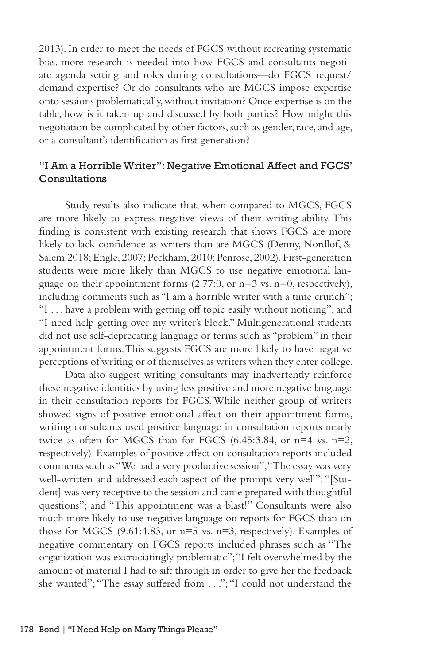2013). In order to meet the needs of FGCS without recreating systematic bias, more research is needed into how FGCS and consultants negotiate agenda setting and roles during consultations—do FGCS request/ demand expertise? Or do consultants who are MGCS impose expertise onto sessions problematically, without invitation? Once expertise is on the table, how is it taken up and discussed by both parties? How might this negotiation be complicated by other factors, such as gender, race, and age, or a consultant's identification as first generation?

### "I Am a Horrible Writer": Negative Emotional Affect and FGCS' Consultations

Study results also indicate that, when compared to MGCS, FGCS are more likely to express negative views of their writing ability. This finding is consistent with existing research that shows FGCS are more likely to lack confidence as writers than are MGCS (Denny, Nordlof, & Salem 2018; Engle, 2007; Peckham, 2010; Penrose, 2002). First-generation students were more likely than MGCS to use negative emotional language on their appointment forms  $(2.77:0, \text{ or } n=3 \text{ vs. } n=0, \text{ respectively}),$ including comments such as "I am a horrible writer with a time crunch"; "I . . . have a problem with getting off topic easily without noticing"; and "I need help getting over my writer's block." Multigenerational students did not use self-deprecating language or terms such as "problem" in their appointment forms. This suggests FGCS are more likely to have negative perceptions of writing or of themselves as writers when they enter college.

Data also suggest writing consultants may inadvertently reinforce these negative identities by using less positive and more negative language in their consultation reports for FGCS. While neither group of writers showed signs of positive emotional affect on their appointment forms, writing consultants used positive language in consultation reports nearly twice as often for MGCS than for FGCS  $(6.45:3.84, \text{ or } n=4 \text{ vs. } n=2,$ respectively). Examples of positive affect on consultation reports included comments such as "We had a very productive session"; "The essay was very well-written and addressed each aspect of the prompt very well"; "[Student] was very receptive to the session and came prepared with thoughtful questions"; and "This appointment was a blast!" Consultants were also much more likely to use negative language on reports for FGCS than on those for MGCS (9.61:4.83, or n=5 vs. n=3, respectively). Examples of negative commentary on FGCS reports included phrases such as "The organization was excruciatingly problematic"; "I felt overwhelmed by the amount of material I had to sift through in order to give her the feedback she wanted"; "The essay suffered from . . ."; "I could not understand the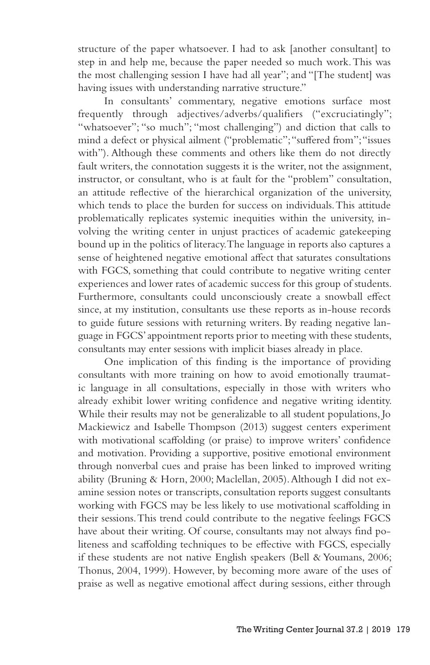structure of the paper whatsoever. I had to ask [another consultant] to step in and help me, because the paper needed so much work. This was the most challenging session I have had all year"; and "[The student] was having issues with understanding narrative structure."

In consultants' commentary, negative emotions surface most frequently through adjectives/adverbs/qualifiers ("excruciatingly"; "whatsoever"; "so much"; "most challenging") and diction that calls to mind a defect or physical ailment ("problematic"; "suffered from"; "issues with"). Although these comments and others like them do not directly fault writers, the connotation suggests it is the writer, not the assignment, instructor, or consultant, who is at fault for the "problem" consultation, an attitude reflective of the hierarchical organization of the university, which tends to place the burden for success on individuals. This attitude problematically replicates systemic inequities within the university, involving the writing center in unjust practices of academic gatekeeping bound up in the politics of literacy. The language in reports also captures a sense of heightened negative emotional affect that saturates consultations with FGCS, something that could contribute to negative writing center experiences and lower rates of academic success for this group of students. Furthermore, consultants could unconsciously create a snowball effect since, at my institution, consultants use these reports as in-house records to guide future sessions with returning writers. By reading negative language in FGCS' appointment reports prior to meeting with these students, consultants may enter sessions with implicit biases already in place.

One implication of this finding is the importance of providing consultants with more training on how to avoid emotionally traumatic language in all consultations, especially in those with writers who already exhibit lower writing confidence and negative writing identity. While their results may not be generalizable to all student populations, Jo Mackiewicz and Isabelle Thompson (2013) suggest centers experiment with motivational scaffolding (or praise) to improve writers' confidence and motivation. Providing a supportive, positive emotional environment through nonverbal cues and praise has been linked to improved writing ability (Bruning & Horn, 2000; Maclellan, 2005). Although I did not examine session notes or transcripts, consultation reports suggest consultants working with FGCS may be less likely to use motivational scaffolding in their sessions. This trend could contribute to the negative feelings FGCS have about their writing. Of course, consultants may not always find politeness and scaffolding techniques to be effective with FGCS, especially if these students are not native English speakers (Bell & Youmans, 2006; Thonus, 2004, 1999). However, by becoming more aware of the uses of praise as well as negative emotional affect during sessions, either through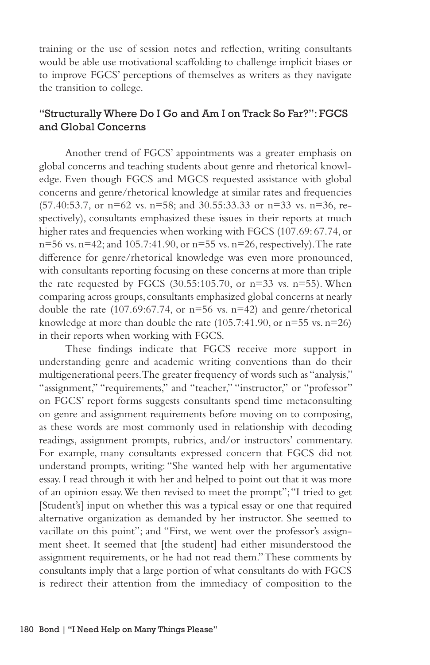training or the use of session notes and reflection, writing consultants would be able use motivational scaffolding to challenge implicit biases or to improve FGCS' perceptions of themselves as writers as they navigate the transition to college.

### "Structurally Where Do I Go and Am I on Track So Far?": FGCS and Global Concerns

Another trend of FGCS' appointments was a greater emphasis on global concerns and teaching students about genre and rhetorical knowledge. Even though FGCS and MGCS requested assistance with global concerns and genre/rhetorical knowledge at similar rates and frequencies (57.40:53.7, or n=62 vs. n=58; and 30.55:33.33 or n=33 vs. n=36, respectively), consultants emphasized these issues in their reports at much higher rates and frequencies when working with FGCS (107.69: 67.74, or n=56 vs. n=42; and 105.7:41.90, or n=55 vs. n=26, respectively). The rate difference for genre/rhetorical knowledge was even more pronounced, with consultants reporting focusing on these concerns at more than triple the rate requested by FGCS  $(30.55:105.70, \text{ or } n=33 \text{ vs. } n=55)$ . When comparing across groups, consultants emphasized global concerns at nearly double the rate  $(107.69:67.74, \text{ or } n=56 \text{ vs. } n=42)$  and genre/rhetorical knowledge at more than double the rate  $(105.7:41.90, \text{ or } n=55 \text{ vs. } n=26)$ in their reports when working with FGCS.

These findings indicate that FGCS receive more support in understanding genre and academic writing conventions than do their multigenerational peers. The greater frequency of words such as "analysis," "assignment," "requirements," and "teacher," "instructor," or "professor" on FGCS' report forms suggests consultants spend time metaconsulting on genre and assignment requirements before moving on to composing, as these words are most commonly used in relationship with decoding readings, assignment prompts, rubrics, and/or instructors' commentary. For example, many consultants expressed concern that FGCS did not understand prompts, writing: "She wanted help with her argumentative essay. I read through it with her and helped to point out that it was more of an opinion essay. We then revised to meet the prompt"; "I tried to get [Student's] input on whether this was a typical essay or one that required alternative organization as demanded by her instructor. She seemed to vacillate on this point"; and "First, we went over the professor's assignment sheet. It seemed that [the student] had either misunderstood the assignment requirements, or he had not read them." These comments by consultants imply that a large portion of what consultants do with FGCS is redirect their attention from the immediacy of composition to the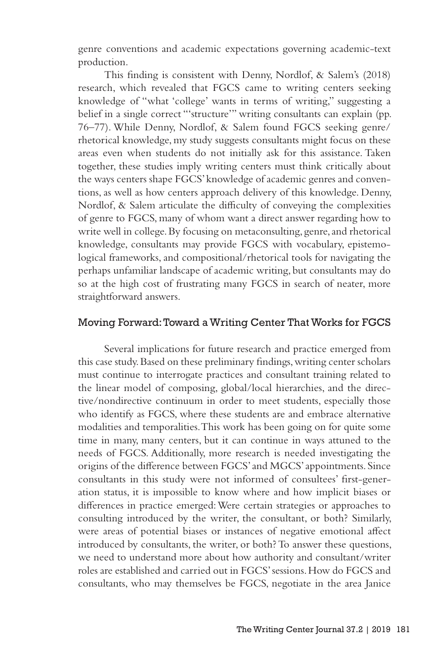genre conventions and academic expectations governing academic-text production.

This finding is consistent with Denny, Nordlof, & Salem's (2018) research, which revealed that FGCS came to writing centers seeking knowledge of "what 'college' wants in terms of writing," suggesting a belief in a single correct "'structure'" writing consultants can explain (pp. 76–77). While Denny, Nordlof, & Salem found FGCS seeking genre/ rhetorical knowledge, my study suggests consultants might focus on these areas even when students do not initially ask for this assistance. Taken together, these studies imply writing centers must think critically about the ways centers shape FGCS' knowledge of academic genres and conventions, as well as how centers approach delivery of this knowledge. Denny, Nordlof, & Salem articulate the difficulty of conveying the complexities of genre to FGCS, many of whom want a direct answer regarding how to write well in college. By focusing on metaconsulting, genre, and rhetorical knowledge, consultants may provide FGCS with vocabulary, epistemological frameworks, and compositional/rhetorical tools for navigating the perhaps unfamiliar landscape of academic writing, but consultants may do so at the high cost of frustrating many FGCS in search of neater, more straightforward answers.

#### Moving Forward: Toward a Writing Center That Works for FGCS

Several implications for future research and practice emerged from this case study. Based on these preliminary findings, writing center scholars must continue to interrogate practices and consultant training related to the linear model of composing, global/local hierarchies, and the directive/nondirective continuum in order to meet students, especially those who identify as FGCS, where these students are and embrace alternative modalities and temporalities. This work has been going on for quite some time in many, many centers, but it can continue in ways attuned to the needs of FGCS. Additionally, more research is needed investigating the origins of the difference between FGCS' and MGCS' appointments. Since consultants in this study were not informed of consultees' first-generation status, it is impossible to know where and how implicit biases or differences in practice emerged: Were certain strategies or approaches to consulting introduced by the writer, the consultant, or both? Similarly, were areas of potential biases or instances of negative emotional affect introduced by consultants, the writer, or both? To answer these questions, we need to understand more about how authority and consultant/writer roles are established and carried out in FGCS' sessions. How do FGCS and consultants, who may themselves be FGCS, negotiate in the area Janice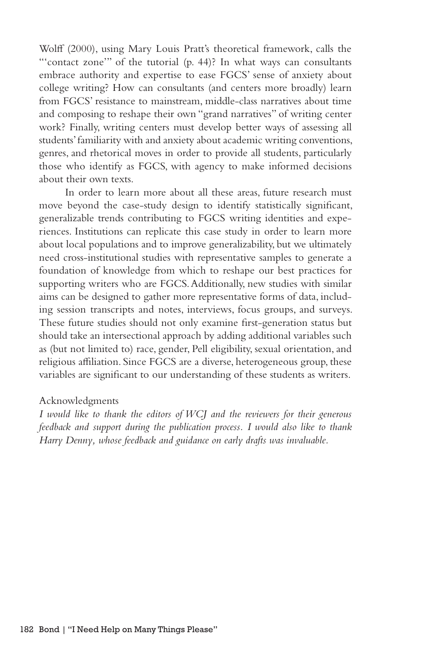Wolff (2000), using Mary Louis Pratt's theoretical framework, calls the "'contact zone'" of the tutorial (p. 44)? In what ways can consultants embrace authority and expertise to ease FGCS' sense of anxiety about college writing? How can consultants (and centers more broadly) learn from FGCS' resistance to mainstream, middle-class narratives about time and composing to reshape their own "grand narratives" of writing center work? Finally, writing centers must develop better ways of assessing all students' familiarity with and anxiety about academic writing conventions, genres, and rhetorical moves in order to provide all students, particularly those who identify as FGCS, with agency to make informed decisions about their own texts.

In order to learn more about all these areas, future research must move beyond the case-study design to identify statistically significant, generalizable trends contributing to FGCS writing identities and experiences. Institutions can replicate this case study in order to learn more about local populations and to improve generalizability, but we ultimately need cross-institutional studies with representative samples to generate a foundation of knowledge from which to reshape our best practices for supporting writers who are FGCS. Additionally, new studies with similar aims can be designed to gather more representative forms of data, including session transcripts and notes, interviews, focus groups, and surveys. These future studies should not only examine first-generation status but should take an intersectional approach by adding additional variables such as (but not limited to) race, gender, Pell eligibility, sexual orientation, and religious affiliation. Since FGCS are a diverse, heterogeneous group, these variables are significant to our understanding of these students as writers.

#### Acknowledgments

*I would like to thank the editors of WCJ and the reviewers for their generous feedback and support during the publication process. I would also like to thank Harry Denny, whose feedback and guidance on early drafts was invaluable.*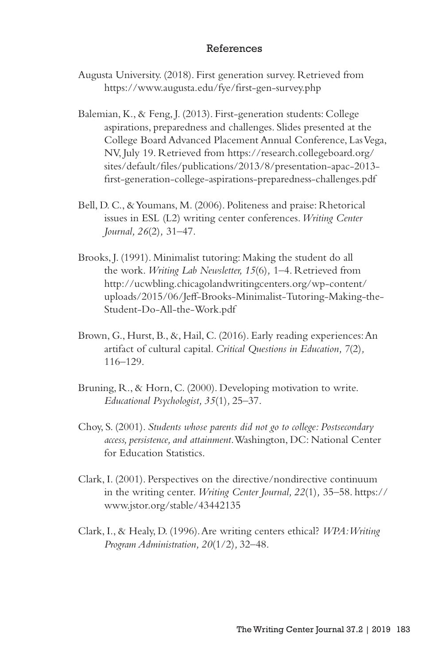#### References

- Augusta University. (2018). First generation survey. Retrieved from https://www.augusta.edu/fye/first-gen-survey.php
- Balemian, K., & Feng, J. (2013). First-generation students: College aspirations, preparedness and challenges. Slides presented at the College Board Advanced Placement Annual Conference, Las Vega, NV, July 19. Retrieved from https://research.collegeboard.org/ sites/default/files/publications/2013/8/presentation-apac-2013 first-generation-college-aspirations-preparedness-challenges.pdf
- Bell, D. C., & Youmans, M. (2006). Politeness and praise: Rhetorical issues in ESL (L2) writing center conferences. *Writing Center Journal, 26*(2)*,* 31–47.
- Brooks, J. (1991). Minimalist tutoring: Making the student do all the work. *Writing Lab Newsletter, 15*(6)*,* 1–4. Retrieved from http://ucwbling.chicagolandwritingcenters.org/wp-content/ uploads/2015/06/Jeff-Brooks-Minimalist-Tutoring-Making-the-Student-Do-All-the-Work.pdf
- Brown, G., Hurst, B., &, Hail, C. (2016). Early reading experiences: An artifact of cultural capital. *Critical Questions in Education, 7*(2)*,* 116–129.
- Bruning, R., & Horn, C. (2000). Developing motivation to write. *Educational Psychologist, 35*(1)*,* 25–37.
- Choy, S. (2001). *Students whose parents did not go to college: Postsecondary access, persistence, and attainment*. Washington, DC: National Center for Education Statistics.
- Clark, I. (2001). Perspectives on the directive/nondirective continuum in the writing center. *Writing Center Journal, 22*(1)*,* 35–58. https:// www.jstor.org/stable/43442135
- Clark, I., & Healy, D. (1996). Are writing centers ethical? *WPA: Writing Program Administration, 20*(1/2)*,* 32–48.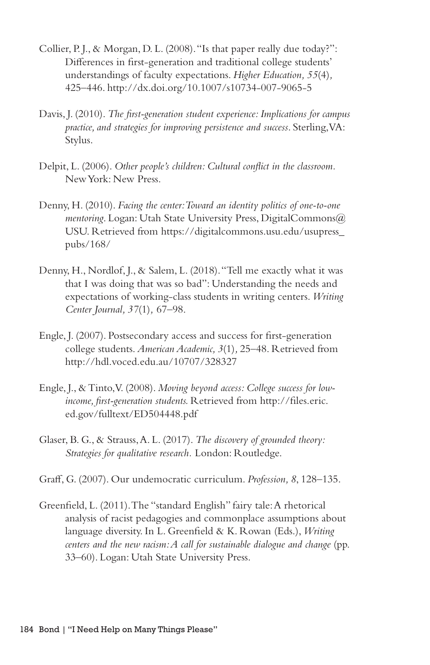- Collier, P. J., & Morgan, D. L. (2008). "Is that paper really due today?": Differences in first-generation and traditional college students' understandings of faculty expectations. *Higher Education, 55*(4)*,* 425–446. http://dx.doi.org/10.1007/s10734-007-9065-5
- Davis, J. (2010). *The first-generation student experience: Implications for campus practice, and strategies for improving persistence and success*. Sterling, VA: Stylus.
- Delpit, L. (2006). *Other people's children: Cultural conflict in the classroom.*  New York: New Press.
- Denny, H. (2010). *Facing the center: Toward an identity politics of one-to-one mentoring*. Logan: Utah State University Press, DigitalCommons@ USU. Retrieved from https://digitalcommons.usu.edu/usupress\_ pubs/168/
- Denny, H., Nordlof, J., & Salem, L. (2018). "Tell me exactly what it was that I was doing that was so bad": Understanding the needs and expectations of working-class students in writing centers. *Writing Center Journal, 37*(1)*,* 67–98.
- Engle, J. (2007). Postsecondary access and success for first-generation college students. *American Academic, 3*(1)*,* 25–48. Retrieved from http://hdl.voced.edu.au/10707/328327
- Engle, J., & Tinto, V. (2008). *Moving beyond access: College success for lowincome, first-generation students.* Retrieved from http://files.eric. ed.gov/fulltext/ED504448.pdf
- Glaser, B. G., & Strauss, A. L. (2017). *The discovery of grounded theory: Strategies for qualitative research.* London: Routledge.
- Graff, G. (2007). Our undemocratic curriculum. *Profession, 8*, 128–135.
- Greenfield, L. (2011). The "standard English" fairy tale: A rhetorical analysis of racist pedagogies and commonplace assumptions about language diversity. In L. Greenfield & K. Rowan (Eds.), *Writing centers and the new racism: A call for sustainable dialogue and change (pp.* 33–60). Logan: Utah State University Press.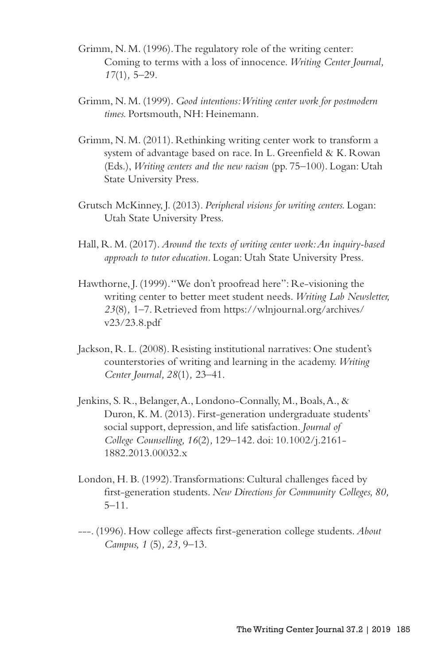- Grimm, N. M. (1996). The regulatory role of the writing center: Coming to terms with a loss of innocence. *Writing Center Journal, 17*(1)*,* 5–29.
- Grimm, N. M. (1999). *Good intentions: Writing center work for postmodern times.* Portsmouth, NH: Heinemann.
- Grimm, N. M. (2011). Rethinking writing center work to transform a system of advantage based on race. In L. Greenfield & K. Rowan (Eds.), *Writing centers and the new racism* (pp. 75–100). Logan: Utah State University Press.
- Grutsch McKinney, J. (2013). *Peripheral visions for writing centers.* Logan: Utah State University Press.
- Hall, R. M. (2017). *Around the texts of writing center work: An inquiry-based approach to tutor education.* Logan: Utah State University Press.
- Hawthorne, J. (1999). "We don't proofread here": Re-visioning the writing center to better meet student needs. *Writing Lab Newsletter, 23*(8)*,* 1–7. Retrieved from https://wlnjournal.org/archives/ v23/23.8.pdf
- Jackson, R. L. (2008). Resisting institutional narratives: One student's counterstories of writing and learning in the academy. *Writing Center Journal, 28*(1)*,* 23–41.
- Jenkins, S. R., Belanger, A., Londono-Connally, M., Boals, A., & Duron, K. M. (2013). First-generation undergraduate students' social support, depression, and life satisfaction. *Journal of College Counselling, 16*(2)*,* 129–142. doi: 10.1002/j.2161- 1882.2013.00032.x
- London, H. B. (1992). Transformations: Cultural challenges faced by first-generation students. *New Directions for Community Colleges, 80,*  5–11.
- ---. (1996). How college affects first-generation college students. *About Campus, 1* (5)*, 23,* 9–13.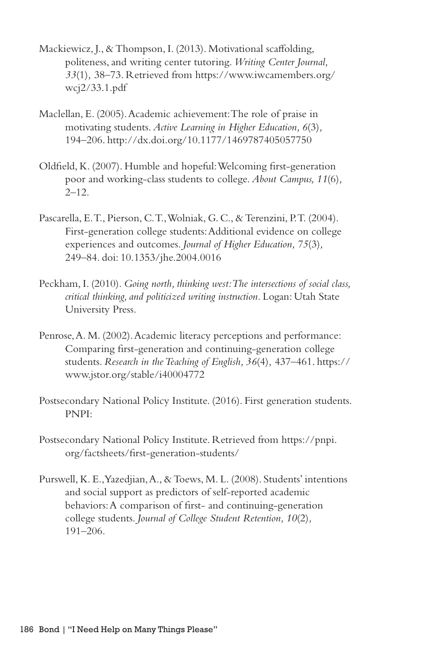- Mackiewicz, J., & Thompson, I. (2013). Motivational scaffolding, politeness, and writing center tutoring. *Writing Center Journal, 33*(1)*,* 38–73. Retrieved from https://www.iwcamembers.org/ wcj2/33.1.pdf
- Maclellan, E. (2005). Academic achievement: The role of praise in motivating students. *Active Learning in Higher Education, 6*(3)*,*  194–206. http://dx.doi.org/10.1177/1469787405057750
- Oldfield, K. (2007). Humble and hopeful: Welcoming first-generation poor and working-class students to college. *About Campus, 11*(6)*,*  $2 - 12.$
- Pascarella, E. T., Pierson, C. T., Wolniak, G. C., & Terenzini, P. T. (2004). First-generation college students: Additional evidence on college experiences and outcomes. *Journal of Higher Education, 75*(3)*,* 249–84. doi: 10.1353/jhe.2004.0016
- Peckham, I. (2010). *Going north, thinking west: The intersections of social class, critical thinking, and politicized writing instruction.* Logan: Utah State University Press.
- Penrose, A. M. (2002). Academic literacy perceptions and performance: Comparing first-generation and continuing-generation college students. *Research in the Teaching of English, 36*(4)*,* 437–461. https:// www.jstor.org/stable/i40004772
- Postsecondary National Policy Institute. (2016). First generation students. PNPI:
- Postsecondary National Policy Institute. Retrieved from https://pnpi. org/factsheets/first-generation-students/
- Purswell, K. E., Yazedjian, A., & Toews, M. L. (2008). Students' intentions and social support as predictors of self-reported academic behaviors: A comparison of first- and continuing-generation college students. *Journal of College Student Retention, 10*(2)*,*  191–206.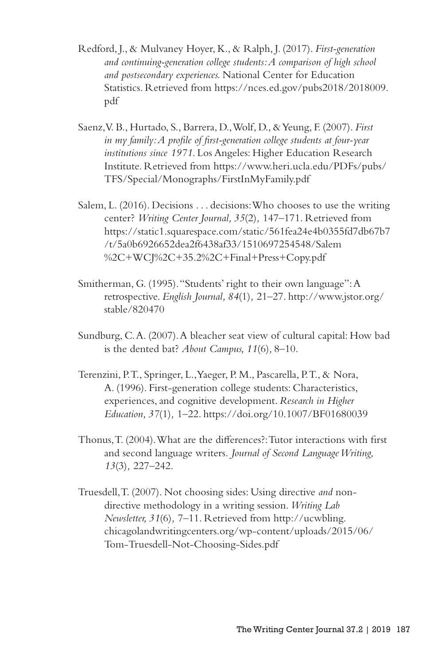- Redford, J., & Mulvaney Hoyer, K., & Ralph, J. (2017). *First-generation and continuing-generation college students: A comparison of high school and postsecondary experiences.* National Center for Education Statistics. Retrieved from https://nces.ed.gov/pubs2018/2018009. pdf
- Saenz, V. B., Hurtado, S., Barrera, D., Wolf, D., & Yeung, F. (2007). *First in my family: A profile of first-generation college students at four-year institutions since 1971*. Los Angeles: Higher Education Research Institute. Retrieved from https://www.heri.ucla.edu/PDFs/pubs/ TFS/Special/Monographs/FirstInMyFamily.pdf
- Salem, L. (2016). Decisions . . . decisions: Who chooses to use the writing center? *Writing Center Journal, 35*(2)*,* 147–171. Retrieved from https://static1.squarespace.com/static/561fea24e4b0355fd7db67b7 /t/5a0b6926652dea2f6438af33/1510697254548/Salem %2C+WCJ%2C+35.2%2C+Final+Press+Copy.pdf
- Smitherman, G. (1995). "Students' right to their own language": A retrospective. *English Journal, 84*(1)*,* 21–27. http://www.jstor.org/ stable/820470
- Sundburg, C. A. (2007). A bleacher seat view of cultural capital: How bad is the dented bat? *About Campus, 11*(6)*,* 8–10.
- Terenzini, P. T., Springer, L., Yaeger, P. M., Pascarella, P. T., & Nora, A. (1996). First-generation college students: Characteristics, experiences, and cognitive development. *Research in Higher Education, 37*(1)*,* 1–22. https://doi.org/10.1007/BF01680039
- Thonus, T. (2004). What are the differences?: Tutor interactions with first and second language writers. *Journal of Second Language Writing, 13*(3)*,* 227–242.
- Truesdell, T. (2007). Not choosing sides: Using directive *and* nondirective methodology in a writing session. *Writing Lab Newsletter, 31*(6)*,* 7–11. Retrieved from http://ucwbling. chicagolandwritingcenters.org/wp-content/uploads/2015/06/ Tom-Truesdell-Not-Choosing-Sides.pdf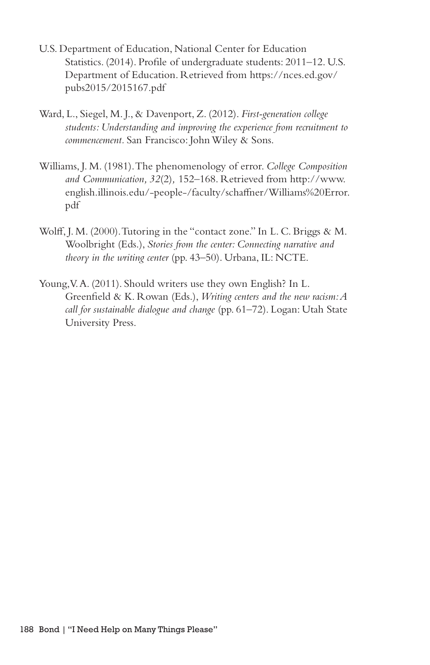- U.S. Department of Education, National Center for Education Statistics. (2014). Profile of undergraduate students: 2011–12. U.S. Department of Education. Retrieved from https://nces.ed.gov/ pubs2015/2015167.pdf
- Ward, L., Siegel, M. J., & Davenport, Z. (2012). *First-generation college students: Understanding and improving the experience from recruitment to commencement.* San Francisco: John Wiley & Sons.
- Williams, J. M. (1981). The phenomenology of error. *College Composition and Communication, 32*(2)*,* 152–168. Retrieved from http://www. english.illinois.edu/-people-/faculty/schaffner/Williams%20Error. pdf
- Wolff, J. M. (2000). Tutoring in the "contact zone." In L. C. Briggs & M. Woolbright (Eds.), *Stories from the center: Connecting narrative and theory in the writing center* (pp. 43–50). Urbana, IL: NCTE.
- Young, V. A. (2011). Should writers use they own English? In L. Greenfield & K. Rowan (Eds.), *Writing centers and the new racism: A call for sustainable dialogue and change* (pp. 61–72). Logan: Utah State University Press.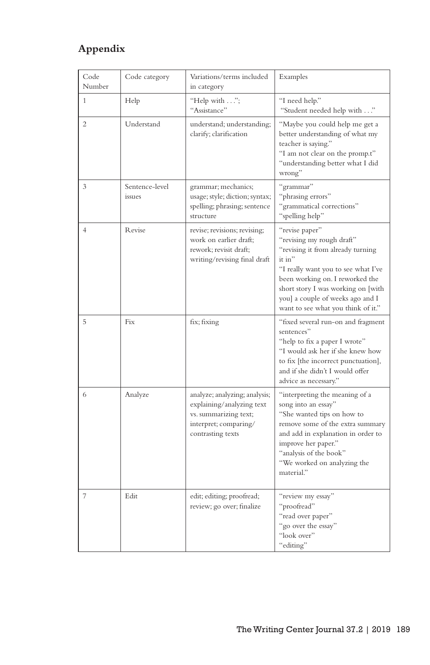# **Appendix**

| Code<br>Number | Code category            | Variations/terms included<br>in category                                                                                          | Examples                                                                                                                                                                                                                                                                             |
|----------------|--------------------------|-----------------------------------------------------------------------------------------------------------------------------------|--------------------------------------------------------------------------------------------------------------------------------------------------------------------------------------------------------------------------------------------------------------------------------------|
| $\mathbf{1}$   | Help                     | "Help with";<br>"Assistance"                                                                                                      | "I need help."<br>"Student needed help with "                                                                                                                                                                                                                                        |
| $\overline{c}$ | Understand               | understand; understanding;<br>clarify; clarification                                                                              | "Maybe you could help me get a<br>better understanding of what my<br>teacher is saying."<br>"I am not clear on the promp.t"<br>"understanding better what I did<br>wrong"                                                                                                            |
| 3              | Sentence-level<br>issues | grammar; mechanics;<br>usage; style; diction; syntax;<br>spelling; phrasing; sentence<br>structure                                | "grammar"<br>"phrasing errors"<br>"grammatical corrections"<br>"spelling help"                                                                                                                                                                                                       |
| 4              | Revise                   | revise; revisions; revising;<br>work on earlier draft;<br>rework; revisit draft;<br>writing/revising final draft                  | "revise paper"<br>"revising my rough draft"<br>"revising it from already turning<br>it in"<br>"I really want you to see what I've<br>been working on. I reworked the<br>short story I was working on [with<br>you] a couple of weeks ago and I<br>want to see what you think of it." |
| 5              | Fix                      | fix; fixing                                                                                                                       | "fixed several run-on and fragment<br>sentences"<br>"help to fix a paper I wrote"<br>"I would ask her if she knew how<br>to fix [the incorrect punctuation],<br>and if she didn't I would offer<br>advice as necessary."                                                             |
| 6              | Analyze                  | analyze; analyzing; analysis;<br>explaining/analyzing text<br>vs. summarizing text;<br>interpret; comparing/<br>contrasting texts | "interpreting the meaning of a<br>song into an essay"<br>"She wanted tips on how to<br>remove some of the extra summary<br>and add in explanation in order to<br>improve her paper."<br>"analysis of the book"<br>"We worked on analyzing the<br>material."                          |
| 7              | Edit                     | edit; editing; proofread;<br>review; go over; finalize                                                                            | "review my essay"<br>"proofread"<br>"read over paper"<br>"go over the essay"<br>"look over"<br>"editing"                                                                                                                                                                             |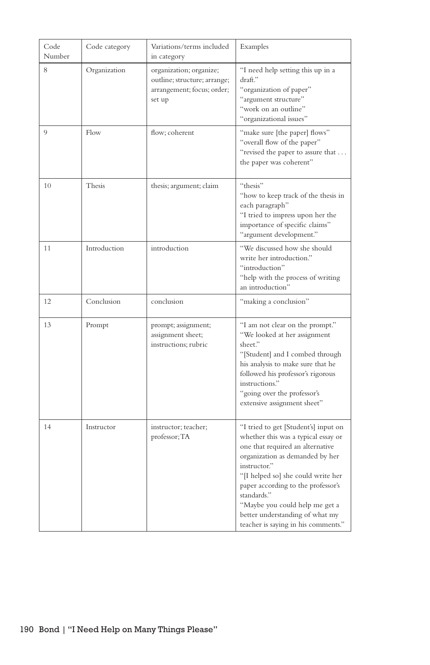| Code<br>Number | Code category | Variations/terms included<br>in category                                                        | Examples                                                                                                                                                                                                                                                                                                                                                                  |
|----------------|---------------|-------------------------------------------------------------------------------------------------|---------------------------------------------------------------------------------------------------------------------------------------------------------------------------------------------------------------------------------------------------------------------------------------------------------------------------------------------------------------------------|
| 8              | Organization  | organization; organize;<br>outline; structure; arrange;<br>arrangement; focus; order;<br>set up | "I need help setting this up in a<br>draft."<br>"organization of paper"<br>"argument structure"<br>"work on an outline"<br>"organizational issues"                                                                                                                                                                                                                        |
| 9              | Flow          | flow; coherent                                                                                  | "make sure [the paper] flows"<br>"overall flow of the paper"<br>"revised the paper to assure that<br>the paper was coherent"                                                                                                                                                                                                                                              |
| 10             | Thesis        | thesis; argument; claim                                                                         | "thesis"<br>"how to keep track of the thesis in<br>each paragraph"<br>"I tried to impress upon her the<br>importance of specific claims"<br>"argument development."                                                                                                                                                                                                       |
| 11             | Introduction  | introduction                                                                                    | "We discussed how she should<br>write her introduction."<br>"introduction"<br>"help with the process of writing<br>an introduction"                                                                                                                                                                                                                                       |
| 12             | Conclusion    | conclusion                                                                                      | "making a conclusion"                                                                                                                                                                                                                                                                                                                                                     |
| 13             | Prompt        | prompt; assignment;<br>assignment sheet;<br>instructions; rubric                                | "I am not clear on the prompt."<br>"We looked at her assignment<br>sheet."<br>"[Student] and I combed through<br>his analysis to make sure that he<br>followed his professor's rigorous<br>instructions."<br>"going over the professor's<br>extensive assignment sheet"                                                                                                   |
| 14             | Instructor    | instructor; teacher;<br>professor; TA                                                           | "I tried to get [Student's] input on<br>whether this was a typical essay or<br>one that required an alternative<br>organization as demanded by her<br>instructor."<br>"[I helped so] she could write her<br>paper according to the professor's<br>standards."<br>"Maybe you could help me get a<br>better understanding of what my<br>teacher is saying in his comments." |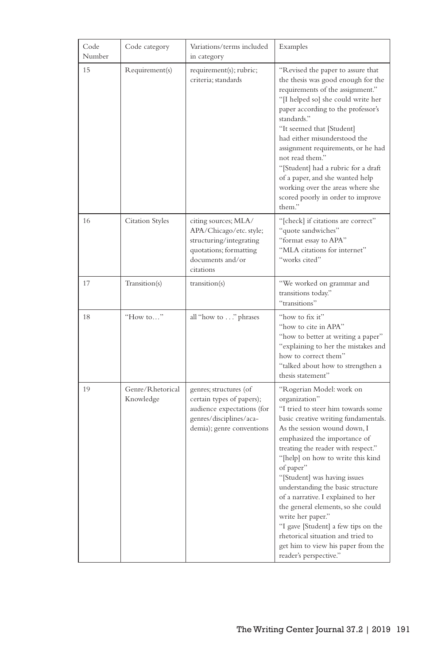| Code<br>Number | Code category                 | Variations/terms included<br>in category                                                                                                  | Examples                                                                                                                                                                                                                                                                                                                                                                                                                                                                                                                                                                                          |
|----------------|-------------------------------|-------------------------------------------------------------------------------------------------------------------------------------------|---------------------------------------------------------------------------------------------------------------------------------------------------------------------------------------------------------------------------------------------------------------------------------------------------------------------------------------------------------------------------------------------------------------------------------------------------------------------------------------------------------------------------------------------------------------------------------------------------|
| 15             | Requirement(s)                | requirement(s); rubric;<br>criteria; standards                                                                                            | "Revised the paper to assure that<br>the thesis was good enough for the<br>requirements of the assignment."<br>"[I helped so] she could write her<br>paper according to the professor's<br>standards."<br>"It seemed that [Student]<br>had either misunderstood the<br>assignment requirements, or he had<br>not read them."<br>"[Student] had a rubric for a draft<br>of a paper, and she wanted help<br>working over the areas where she<br>scored poorly in order to improve<br>them."                                                                                                         |
| 16             | <b>Citation Styles</b>        | citing sources; MLA/<br>APA/Chicago/etc.style;<br>structuring/integrating<br>quotations; formatting<br>documents and/or<br>citations      | "[check] if citations are correct"<br>"quote sandwiches"<br>"format essay to APA"<br>"MLA citations for internet"<br>"works cited"                                                                                                                                                                                                                                                                                                                                                                                                                                                                |
| 17             | Transition(s)                 | transition(s)                                                                                                                             | "We worked on grammar and<br>transitions today."<br>"transitions"                                                                                                                                                                                                                                                                                                                                                                                                                                                                                                                                 |
| 18             | "How to"                      | all "how to" phrases                                                                                                                      | "how to fix it"<br>"how to cite in APA"<br>"how to better at writing a paper"<br>"explaining to her the mistakes and<br>how to correct them"<br>"talked about how to strengthen a<br>thesis statement"                                                                                                                                                                                                                                                                                                                                                                                            |
| 19             | Genre/Rhetorical<br>Knowledge | genres; structures (of<br>certain types of papers);<br>audience expectations (for<br>genres/disciplines/aca-<br>demia); genre conventions | "Rogerian Model: work on<br>organization"<br>"I tried to steer him towards some<br>basic creative writing fundamentals.<br>As the session wound down, I<br>emphasized the importance of<br>treating the reader with respect."<br>"[help] on how to write this kind<br>of paper"<br>"[Student] was having issues<br>understanding the basic structure<br>of a narrative. I explained to her<br>the general elements, so she could<br>write her paper."<br>"I gave [Student] a few tips on the<br>rhetorical situation and tried to<br>get him to view his paper from the<br>reader's perspective." |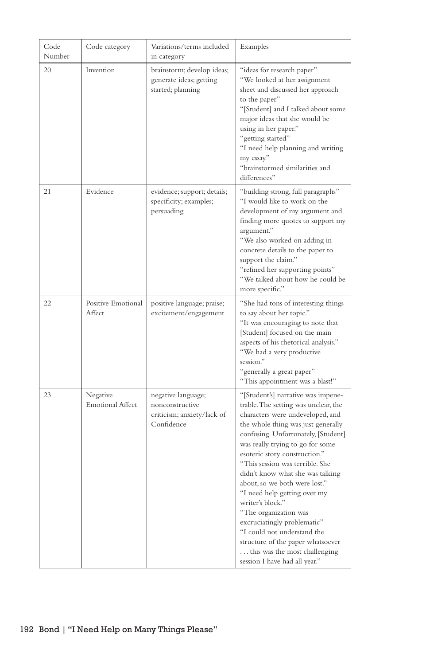| Code<br>Number | Code category                       | Variations/terms included<br>in category                                          | Examples                                                                                                                                                                                                                                                                                                                                                                                                                                                                                                                                                                                                                   |
|----------------|-------------------------------------|-----------------------------------------------------------------------------------|----------------------------------------------------------------------------------------------------------------------------------------------------------------------------------------------------------------------------------------------------------------------------------------------------------------------------------------------------------------------------------------------------------------------------------------------------------------------------------------------------------------------------------------------------------------------------------------------------------------------------|
| 20             | Invention                           | brainstorm; develop ideas;<br>generate ideas; getting<br>started; planning        | "ideas for research paper"<br>"We looked at her assignment<br>sheet and discussed her approach<br>to the paper"<br>"[Student] and I talked about some<br>major ideas that she would be<br>using in her paper."<br>"getting started"<br>"I need help planning and writing<br>my essay."<br>"brainstormed similarities and<br>differences"                                                                                                                                                                                                                                                                                   |
| 21             | Evidence                            | evidence; support; details;<br>specificity; examples;<br>persuading               | "building strong, full paragraphs"<br>"I would like to work on the<br>development of my argument and<br>finding more quotes to support my<br>argument."<br>"We also worked on adding in<br>concrete details to the paper to<br>support the claim."<br>"refined her supporting points"<br>"We talked about how he could be<br>more specific."                                                                                                                                                                                                                                                                               |
| 22             | Positive Emotional<br>Affect        | positive language; praise;<br>excitement/engagement                               | "She had tons of interesting things<br>to say about her topic."<br>"It was encouraging to note that<br>[Student] focused on the main<br>aspects of his rhetorical analysis."<br>"We had a very productive<br>session."<br>"generally a great paper"<br>"This appointment was a blast!"                                                                                                                                                                                                                                                                                                                                     |
| 23             | Negative<br><b>Emotional Affect</b> | negative language;<br>nonconstructive<br>criticism; anxiety/lack of<br>Confidence | "[Student's] narrative was impene-<br>trable. The setting was unclear, the<br>characters were undeveloped, and<br>the whole thing was just generally<br>confusing. Unfortunately, [Student]<br>was really trying to go for some<br>esoteric story construction."<br>"This session was terrible. She<br>didn't know what she was talking<br>about, so we both were lost."<br>"I need help getting over my<br>writer's block."<br>"The organization was<br>excruciatingly problematic"<br>"I could not understand the<br>structure of the paper whatsoever<br>this was the most challenging<br>session I have had all year." |